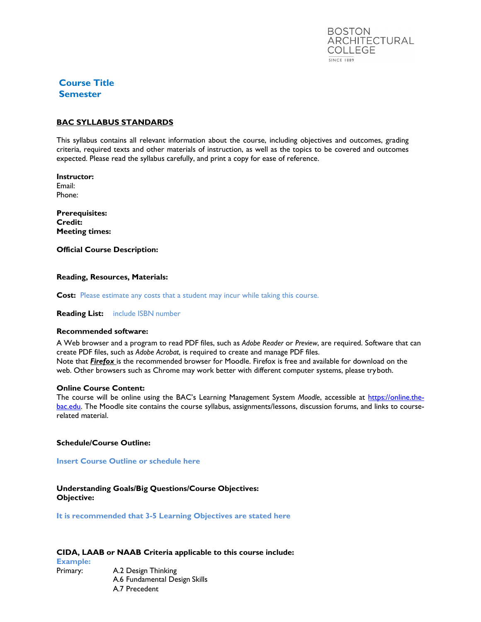

# **Course Title Semester**

# **BAC SYLLABUS STANDARDS**

This syllabus contains all relevant information about the course, including objectives and outcomes, grading criteria, required texts and other materials of instruction, as well as the topics to be covered and outcomes expected. Please read the syllabus carefully, and print a copy for ease of reference.

**Instructor:**  Email: Phone:

**Prerequisites: Credit: Meeting times:**

**Official Course Description:**

### **Reading, Resources, Materials:**

**Cost:** Please estimate any costs that a student may incur while taking this course.

**Reading List:** include ISBN number

### **Recommended software:**

A Web browser and a program to read PDF files, such as *Adobe Reader* or *Preview*, are required. Software that can create PDF files, such as *Adobe Acrobat*, is required to create and manage PDF files. Note that *Firefox* is the recommended browser for Moodle. Firefox is free and available for download on the web. Other browsers such as Chrome may work better with different computer systems, please tryboth.

#### **Online Course Content:**

The course will be online using the BAC's Learning Management System *Moodle*, accessible at [https://online.the](https://online.the-bac.edu/)[bac.edu.](https://online.the-bac.edu/) The Moodle site contains the course syllabus, assignments/lessons, discussion forums, and links to courserelated material.

### **Schedule/Course Outline:**

**Insert Course Outline or schedule here**

# **Understanding Goals/Big Questions/Course Objectives: Objective:**

**It is recommended that 3-5 Learning Objectives are stated here**

### **CIDA, LAAB or NAAB Criteria applicable to this course include:**

**Example:** Primary: A.2 Design Thinking A.6 Fundamental Design Skills A.7 Precedent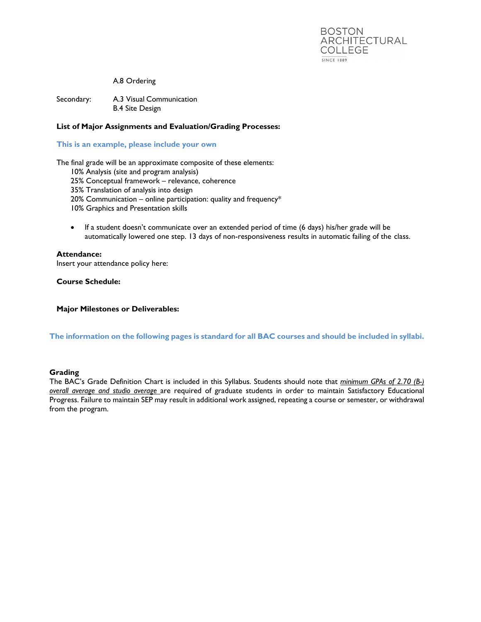

### A.8 Ordering

Secondary: A.3 Visual Communication B.4 Site Design

# **List of Major Assignments and Evaluation/Grading Processes:**

### **This is an example, please include your own**

The final grade will be an approximate composite of these elements:

- 10% Analysis (site and program analysis)
- 25% Conceptual framework relevance, coherence
- 35% Translation of analysis into design
- 20% Communication online participation: quality and frequency\*

10% Graphics and Presentation skills

• If a student doesn't communicate over an extended period of time (6 days) his/her grade will be automatically lowered one step. 13 days of non-responsiveness results in automatic failing of the class.

### **Attendance:**

Insert your attendance policy here:

**Course Schedule:**

### **Major Milestones or Deliverables:**

**The information on the following pages is standard for all BAC courses and should be included in syllabi.**

### **Grading**

The BAC's Grade Definition Chart is included in this Syllabus. Students should note that *minimum GPAs of 2.70 (B-) overall average and studio average* are required of graduate students in order to maintain Satisfactory Educational Progress. Failure to maintain SEP may result in additional work assigned, repeating a course or semester, or withdrawal from the program.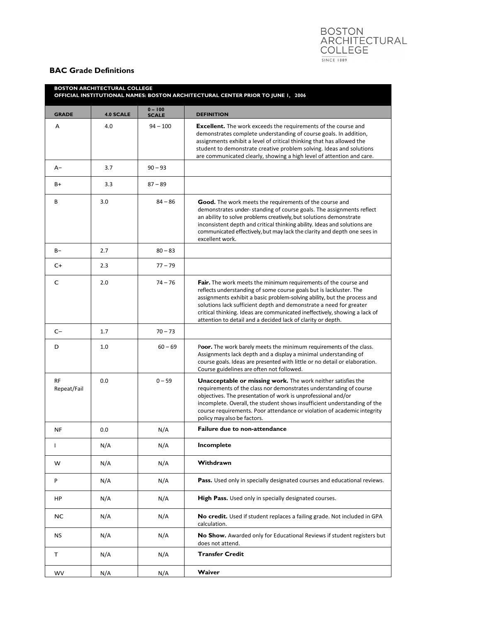# BOSTON<br>ARCHITECTURAL<br>COLLEGE  $\frac{}{\text{SINCE} + \text{889}}$

# **BAC Grade Definitions**

| <b>BOSTON ARCHITECTURAL COLLEGE</b><br>OFFICIAL INSTITUTIONAL NAMES: BOSTON ARCHITECTURAL CENTER PRIOR TO JUNE 1, 2006 |                  |                           |                                                                                                                                                                                                                                                                                                                                                                                                                                      |
|------------------------------------------------------------------------------------------------------------------------|------------------|---------------------------|--------------------------------------------------------------------------------------------------------------------------------------------------------------------------------------------------------------------------------------------------------------------------------------------------------------------------------------------------------------------------------------------------------------------------------------|
| <b>GRADE</b>                                                                                                           | <b>4.0 SCALE</b> | $0 - 100$<br><b>SCALE</b> | <b>DEFINITION</b>                                                                                                                                                                                                                                                                                                                                                                                                                    |
| A                                                                                                                      | 4.0              | $94 - 100$                | <b>Excellent.</b> The work exceeds the requirements of the course and<br>demonstrates complete understanding of course goals. In addition,<br>assignments exhibit a level of critical thinking that has allowed the<br>student to demonstrate creative problem solving. Ideas and solutions<br>are communicated clearly, showing a high level of attention and care.                                                                 |
| $A-$                                                                                                                   | 3.7              | $90 - 93$                 |                                                                                                                                                                                                                                                                                                                                                                                                                                      |
| $B+$                                                                                                                   | 3.3              | $87 - 89$                 |                                                                                                                                                                                                                                                                                                                                                                                                                                      |
| B                                                                                                                      | 3.0              | $84 - 86$                 | <b>Good.</b> The work meets the requirements of the course and<br>demonstrates under-standing of course goals. The assignments reflect<br>an ability to solve problems creatively, but solutions demonstrate<br>inconsistent depth and critical thinking ability. Ideas and solutions are<br>communicated effectively, but may lack the clarity and depth one sees in<br>excellent work.                                             |
| $B -$                                                                                                                  | 2.7              | $80 - 83$                 |                                                                                                                                                                                                                                                                                                                                                                                                                                      |
| $C+$                                                                                                                   | 2.3              | $77 - 79$                 |                                                                                                                                                                                                                                                                                                                                                                                                                                      |
| C                                                                                                                      | 2.0              | $74 - 76$                 | Fair. The work meets the minimum requirements of the course and<br>reflects understanding of some course goals but is lackluster. The<br>assignments exhibit a basic problem-solving ability, but the process and<br>solutions lack sufficient depth and demonstrate a need for greater<br>critical thinking. Ideas are communicated ineffectively, showing a lack of<br>attention to detail and a decided lack of clarity or depth. |
| $C-$                                                                                                                   | 1.7              | $70 - 73$                 |                                                                                                                                                                                                                                                                                                                                                                                                                                      |
| D                                                                                                                      | 1.0              | $60 - 69$                 | <b>Poor.</b> The work barely meets the minimum requirements of the class.<br>Assignments lack depth and a display a minimal understanding of<br>course goals. Ideas are presented with little or no detail or elaboration.<br>Course guidelines are often not followed.                                                                                                                                                              |
| <b>RF</b><br>Repeat/Fail                                                                                               | 0.0              | $0 - 59$                  | <b>Unacceptable or missing work.</b> The work neither satisfies the<br>requirements of the class nor demonstrates understanding of course<br>objectives. The presentation of work is unprofessional and/or<br>incomplete. Overall, the student shows insufficient understanding of the<br>course requirements. Poor attendance or violation of academic integrity<br>policy may also be factors.                                     |
| <b>NF</b>                                                                                                              | 0.0              | N/A                       | <b>Failure due to non-attendance</b>                                                                                                                                                                                                                                                                                                                                                                                                 |
| $\mathbf{I}$                                                                                                           | N/A              | N/A                       | Incomplete                                                                                                                                                                                                                                                                                                                                                                                                                           |
| w                                                                                                                      | N/A              | N/A                       | Withdrawn                                                                                                                                                                                                                                                                                                                                                                                                                            |
| P                                                                                                                      | N/A              | N/A                       | Pass. Used only in specially designated courses and educational reviews.                                                                                                                                                                                                                                                                                                                                                             |
| HP                                                                                                                     | N/A              | N/A                       | High Pass. Used only in specially designated courses.                                                                                                                                                                                                                                                                                                                                                                                |
| <b>NC</b>                                                                                                              | N/A              | N/A                       | No credit. Used if student replaces a failing grade. Not included in GPA<br>calculation.                                                                                                                                                                                                                                                                                                                                             |
| <b>NS</b>                                                                                                              | N/A              | N/A                       | No Show. Awarded only for Educational Reviews if student registers but<br>does not attend.                                                                                                                                                                                                                                                                                                                                           |
| т                                                                                                                      | N/A              | N/A                       | <b>Transfer Credit</b>                                                                                                                                                                                                                                                                                                                                                                                                               |
| <b>WV</b>                                                                                                              | N/A              | N/A                       | Waiver                                                                                                                                                                                                                                                                                                                                                                                                                               |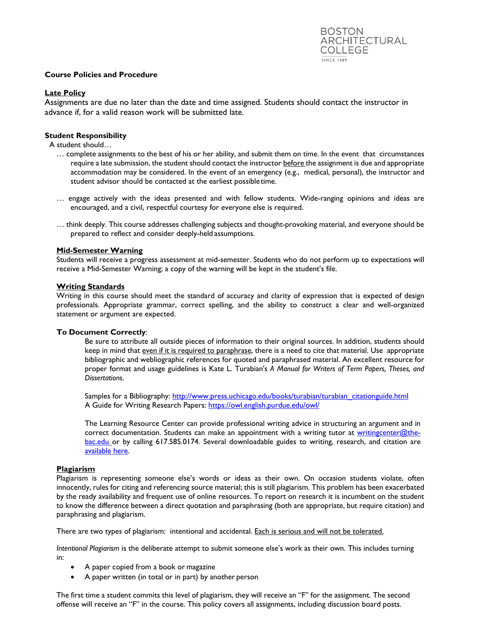### **Course Policies and Procedure**

# **Late Policy**

Assignments are due no later than the date and time assigned. Students should contact the instructor in advance if, for a valid reason work will be submitted late.

# **Student Responsibility**

A student should…

- … complete assignments to the best of his or her ability, and submit them on time. In the event that circumstances require a late submission, the student should contact the instructor before the assignment is due and appropriate accommodation may be considered. In the event of an emergency (e.g., medical, personal), the instructor and student advisor should be contacted at the earliest possibletime.
- … engage actively with the ideas presented and with fellow students. Wide-ranging opinions and ideas are encouraged, and a civil, respectful courtesy for everyone else is required.
- … think deeply. This course addresses challenging subjects and thought-provoking material, and everyone should be prepared to reflect and consider deeply-held assumptions.

### **Mid-Semester Warning**

Students will receive a progress assessment at mid-semester. Students who do not perform up to expectations will receive a Mid-Semester Warning; a copy of the warning will be kept in the student's file.

### **Writing Standards**

Writing in this course should meet the standard of accuracy and clarity of expression that is expected of design professionals. Appropriate grammar, correct spelling, and the ability to construct a clear and well-organized statement or argument are expected.

## **To Document Correctly**:

Be sure to attribute all outside pieces of information to their original sources. In addition, students should keep in mind that even if it is required to paraphrase, there is a need to cite that material. Use appropriate bibliographic and webliographic references for quoted and paraphrased material. An excellent resource for proper format and usage guidelines is Kate L. Turabian's *A Manual for Writers of Term Papers, Theses, and Dissertations*.

Samples for a Bibliography: [http://www.press.uchicago.edu/books/turabian/turabian\\_citationguide.html](http://www.press.uchicago.edu/books/turabian/turabian_citationguide.html) A Guide for Writing Research Papers:<https://owl.english.purdue.edu/owl/>

The Learning Resource Center can provide professional writing advice in structuring an argument and in correct documentation. Students can make an appointment with a writing tutor at [writingcenter@the](mailto:writingcenter@the-bac.edu)[bac.edu o](mailto:writingcenter@the-bac.edu)r by calling 617.585.0174. Several downloadable guides to writing, research, and citation are [available here.](https://the-bac.edu/info-for/current-students/academic-support/learning-resource-center/how-we-can-help)

## **Plagiarism**

Plagiarism is representing someone else's words or ideas as their own. On occasion students violate, often innocently, rules for citing and referencing source material; this is still plagiarism. This problem has been exacerbated by the ready availability and frequent use of online resources. To report on research it is incumbent on the student to know the difference between a direct quotation and paraphrasing (both are appropriate, but require citation) and paraphrasing and plagiarism.

There are two types of plagiarism: intentional and accidental. Each is serious and will not be tolerated.

*Intentional Plagiarism* is the deliberate attempt to submit someone else's work as their own. This includes turning in:

- A paper copied from a book or magazine
- A paper written (in total or in part) by another person

The first time a student commits this level of plagiarism, they will receive an "F" for the assignment. The second offense will receive an "F" in the course. This policy covers all assignments, including discussion board posts.